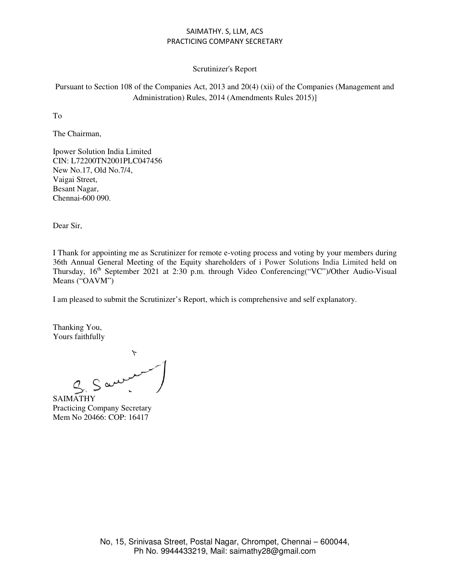## Scrutinizer's Report

Pursuant to Section 108 of the Companies Act, 2013 and 20(4) (xii) of the Companies (Management and Administration) Rules, 2014 (Amendments Rules 2015)]

To

The Chairman,

Ipower Solution India Limited CIN: L72200TN2001PLC047456 New No.17, Old No.7/4, Vaigai Street, Besant Nagar, Chennai-600 090.

Dear Sir,

I Thank for appointing me as Scrutinizer for remote e-voting process and voting by your members during 36th Annual General Meeting of the Equity shareholders of i Power Solutions India Limited held on Thursday,  $16<sup>th</sup>$  September 2021 at 2:30 p.m. through Video Conferencing("VC")/Other Audio-Visual Means ("OAVM")

I am pleased to submit the Scrutinizer's Report, which is comprehensive and self explanatory.

Thanking You, Yours faithfully

 $S$  and  $\overline{S}$ 

SAIMATHY Practicing Company Secretary Mem No 20466: COP: 16417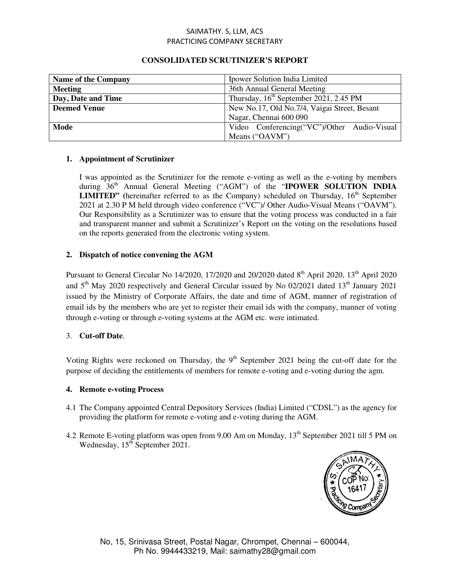| <b>Name of the Company</b> | Ipower Solution India Limited                |  |
|----------------------------|----------------------------------------------|--|
| <b>Meeting</b>             | 36th Annual General Meeting                  |  |
| Day, Date and Time         | Thursday, $16th$ September 2021, 2.45 PM     |  |
| <b>Deemed Venue</b>        | New No.17, Old No.7/4, Vaigai Street, Besant |  |
|                            | Nagar, Chennai 600 090                       |  |
| Mode                       | Video Conferencing("VC")/Other Audio-Visual  |  |
|                            | Means ("OAVM")                               |  |

# **CONSOLIDATED SCRUTINIZER'S REPORT**

## **1. Appointment of Scrutinizer**

I was appointed as the Scrutinizer for the remote e-voting as well as the e-voting by members during  $36<sup>th</sup>$  Annual General Meeting ("AGM") of the "**IPOWER SOLUTION INDIA LIMITED"** (hereinafter referred to as the Company) scheduled on Thursday,  $16<sup>th</sup>$  September 2021 at 2.30 P M held through video conference ("VC")/ Other Audio-Visual Means ("OAVM"). Our Responsibility as a Scrutinizer was to ensure that the voting process was conducted in a fair and transparent manner and submit a Scrutinizer's Report on the voting on the resolutions based on the reports generated from the electronic voting system.

# **2. Dispatch of notice convening the AGM**

Pursuant to General Circular No 14/2020, 17/2020 and 20/2020 dated 8<sup>th</sup> April 2020, 13<sup>th</sup> April 2020 and  $5<sup>th</sup>$  May 2020 respectively and General Circular issued by No 02/2021 dated 13<sup>th</sup> January 2021 issued by the Ministry of Corporate Affairs, the date and time of AGM, manner of registration of email ids by the members who are yet to register their email ids with the company, manner of voting through e-voting or through e-voting systems at the AGM etc. were intimated.

# 3. **Cut-off Date**.

Voting Rights were reckoned on Thursday, the  $9<sup>th</sup>$  September 2021 being the cut-off date for the purpose of deciding the entitlements of members for remote e-voting and e-voting during the agm.

#### **4. Remote e-voting Process**

- 4.1 The Company appointed Central Depository Services (India) Limited ("CDSL") as the agency for providing the platform for remote e-voting and e-voting during the AGM.
- 4.2 Remote E-voting platform was open from 9.00 Am on Monday, 13<sup>th</sup> September 2021 till 5 PM on Wednesday,  $15<sup>th</sup>$  September 2021.

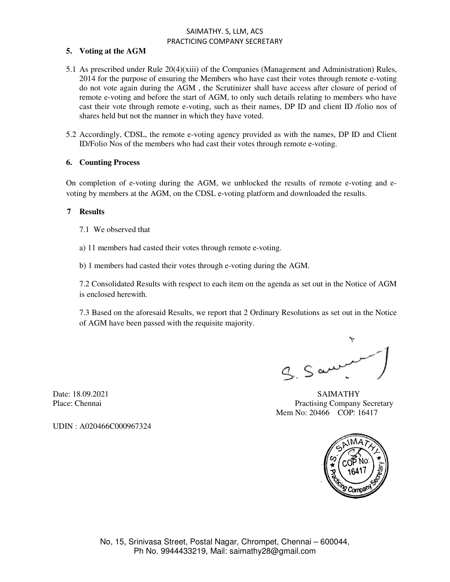## **5. Voting at the AGM**

- 5.1 As prescribed under Rule 20(4)(xiii) of the Companies (Management and Administration) Rules, 2014 for the purpose of ensuring the Members who have cast their votes through remote e-voting do not vote again during the AGM , the Scrutinizer shall have access after closure of period of remote e-voting and before the start of AGM, to only such details relating to members who have cast their vote through remote e-voting, such as their names, DP ID and client ID /folio nos of shares held but not the manner in which they have voted.
- 5.2 Accordingly, CDSL, the remote e-voting agency provided as with the names, DP ID and Client ID/Folio Nos of the members who had cast their votes through remote e-voting.

#### **6. Counting Process**

On completion of e-voting during the AGM, we unblocked the results of remote e-voting and evoting by members at the AGM, on the CDSL e-voting platform and downloaded the results.

#### **7 Results**

- 7.1 We observed that
- a) 11 members had casted their votes through remote e-voting.

b) 1 members had casted their votes through e-voting during the AGM.

7.2 Consolidated Results with respect to each item on the agenda as set out in the Notice of AGM is enclosed herewith.

7.3 Based on the aforesaid Results, we report that 2 Ordinary Resolutions as set out in the Notice of AGM have been passed with the requisite majority.

 $9.5$  and

Date: 18.09.2021 SAIMATHY Place: Chennai Practising Company Secretary Mem No: 20466 COP: 16417



UDIN : A020466C000967324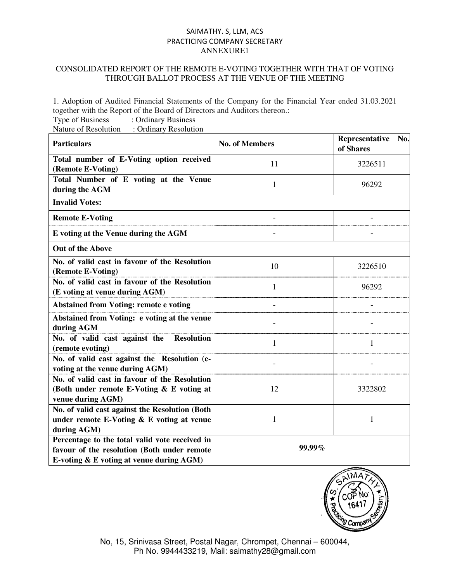# CONSOLIDATED REPORT OF THE REMOTE E-VOTING TOGETHER WITH THAT OF VOTING THROUGH BALLOT PROCESS AT THE VENUE OF THE MEETING

1. Adoption of Audited Financial Statements of the Company for the Financial Year ended 31.03.2021 together with the Report of the Board of Directors and Auditors thereon.:

Type of Business : Ordinary Business Nature of Resolution : Ordinary Resolution

| <b>Particulars</b>                                                                                                                        | <b>No. of Members</b> | Representative<br>No.<br>of Shares |  |
|-------------------------------------------------------------------------------------------------------------------------------------------|-----------------------|------------------------------------|--|
| Total number of E-Voting option received<br>(Remote E-Voting)                                                                             | 11                    | 3226511                            |  |
| Total Number of E voting at the Venue<br>during the AGM                                                                                   | 1                     | 96292                              |  |
| <b>Invalid Votes:</b>                                                                                                                     |                       |                                    |  |
| <b>Remote E-Voting</b>                                                                                                                    |                       |                                    |  |
| E voting at the Venue during the AGM                                                                                                      |                       |                                    |  |
| <b>Out of the Above</b>                                                                                                                   |                       |                                    |  |
| No. of valid cast in favour of the Resolution<br>(Remote E-Voting)                                                                        | 10                    | 3226510                            |  |
| No. of valid cast in favour of the Resolution<br>(E voting at venue during AGM)                                                           | 1                     | 96292                              |  |
| <b>Abstained from Voting: remote e voting</b>                                                                                             |                       |                                    |  |
| Abstained from Voting: e voting at the venue<br>during AGM                                                                                |                       |                                    |  |
| No. of valid cast against the<br><b>Resolution</b><br>(remote evoting)                                                                    | 1                     | 1                                  |  |
| No. of valid cast against the Resolution (e-<br>voting at the venue during AGM)                                                           |                       |                                    |  |
| No. of valid cast in favour of the Resolution<br>(Both under remote E-Voting & E voting at<br>venue during AGM)                           | 12                    | 3322802                            |  |
| No. of valid cast against the Resolution (Both<br>under remote E-Voting $& E$ voting at venue<br>during AGM)                              | 1                     | 1                                  |  |
| Percentage to the total valid vote received in<br>favour of the resolution (Both under remote<br>E-voting & E voting at venue during AGM) | 99.99%                |                                    |  |



No, 15, Srinivasa Street, Postal Nagar, Chrompet, Chennai – 600044, Ph No. 9944433219, Mail: saimathy28@gmail.com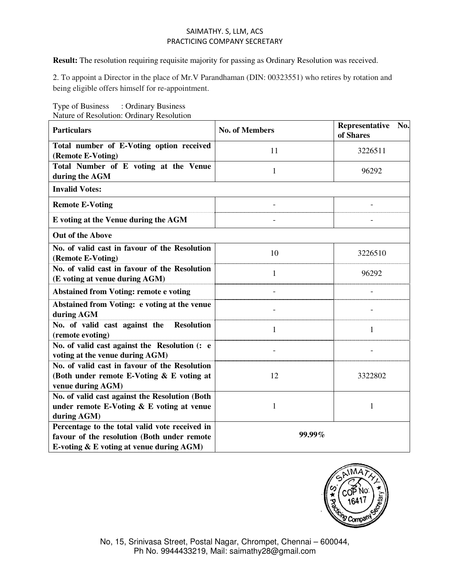**Result:** The resolution requiring requisite majority for passing as Ordinary Resolution was received.

2. To appoint a Director in the place of Mr.V Parandhaman (DIN: 00323551) who retires by rotation and being eligible offers himself for re-appointment.

| rature of Resolution. Orthair y Resolution         |                       | Representative<br>No. |  |  |
|----------------------------------------------------|-----------------------|-----------------------|--|--|
| <b>Particulars</b>                                 | <b>No. of Members</b> | of Shares             |  |  |
| Total number of E-Voting option received           | 11                    | 3226511               |  |  |
| (Remote E-Voting)                                  |                       |                       |  |  |
| Total Number of E voting at the Venue              | $\mathbf{1}$          | 96292                 |  |  |
| during the AGM                                     |                       |                       |  |  |
| <b>Invalid Votes:</b>                              |                       |                       |  |  |
| <b>Remote E-Voting</b>                             |                       |                       |  |  |
| E voting at the Venue during the AGM               |                       |                       |  |  |
| <b>Out of the Above</b>                            |                       |                       |  |  |
| No. of valid cast in favour of the Resolution      | 10                    | 3226510               |  |  |
| (Remote E-Voting)                                  |                       |                       |  |  |
| No. of valid cast in favour of the Resolution      | 1                     | 96292                 |  |  |
| (E voting at venue during AGM)                     |                       |                       |  |  |
| <b>Abstained from Voting: remote e voting</b>      |                       |                       |  |  |
| Abstained from Voting: e voting at the venue       |                       |                       |  |  |
| during AGM                                         |                       |                       |  |  |
| No. of valid cast against the<br><b>Resolution</b> | 1                     | 1                     |  |  |
| (remote evoting)                                   |                       |                       |  |  |
| No. of valid cast against the Resolution (: e      |                       |                       |  |  |
| voting at the venue during AGM)                    |                       |                       |  |  |
| No. of valid cast in favour of the Resolution      |                       |                       |  |  |
| (Both under remote E-Voting & E voting at          | 12                    | 3322802               |  |  |
| venue during AGM)                                  |                       |                       |  |  |
| No. of valid cast against the Resolution (Both     |                       |                       |  |  |
| under remote E-Voting $\&$ E voting at venue       | 1                     | 1                     |  |  |
| during AGM)                                        |                       |                       |  |  |
| Percentage to the total valid vote received in     | 99.99%                |                       |  |  |
| favour of the resolution (Both under remote        |                       |                       |  |  |
| E-voting & E voting at venue during AGM)           |                       |                       |  |  |

Type of Business : Ordinary Business Nature of Resolution: Ordinary Resolution